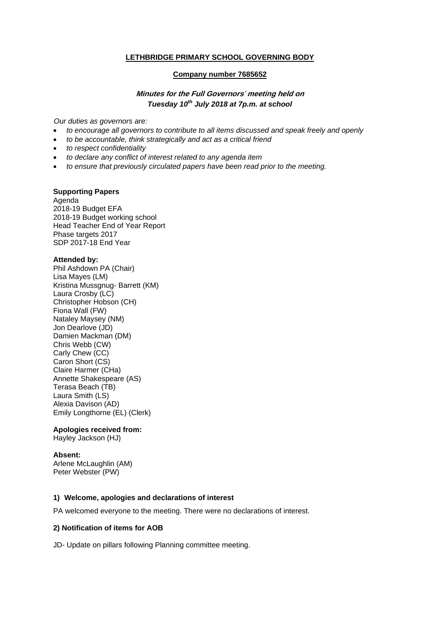## **LETHBRIDGE PRIMARY SCHOOL GOVERNING BODY**

#### **Company number 7685652**

# **Minutes for the Full Governors**' **meeting held on**  *Tuesday 10th July 2018 at 7p.m. at school*

*Our duties as governors are:* 

- *to encourage all governors to contribute to all items discussed and speak freely and openly*
- *to be accountable, think strategically and act as a critical friend*
- *to respect confidentiality*
- *to declare any conflict of interest related to any agenda item*
- *to ensure that previously circulated papers have been read prior to the meeting.*

### **Supporting Papers**

Agenda 2018-19 Budget EFA 2018-19 Budget working school Head Teacher End of Year Report Phase targets 2017 SDP 2017-18 End Year

#### **Attended by:**

Phil Ashdown PA (Chair) Lisa Mayes (LM) Kristina Mussgnug- Barrett (KM) Laura Crosby (LC) Christopher Hobson (CH) Fiona Wall (FW) Nataley Maysey (NM) Jon Dearlove (JD) Damien Mackman (DM) Chris Webb (CW) Carly Chew (CC) Caron Short (CS) Claire Harmer (CHa) Annette Shakespeare (AS) Terasa Beach (TB) Laura Smith (LS) Alexia Davison (AD) Emily Longthorne (EL) (Clerk)

### **Apologies received from:**

Hayley Jackson (HJ)

#### **Absent:**

Arlene McLaughlin (AM) Peter Webster (PW)

#### **1) Welcome, apologies and declarations of interest**

PA welcomed everyone to the meeting. There were no declarations of interest.

#### **2) Notification of items for AOB**

JD- Update on pillars following Planning committee meeting.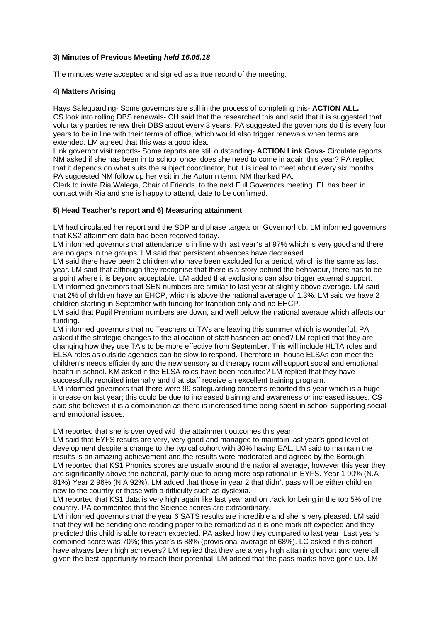# **3) Minutes of Previous Meeting** *held 16.05.18*

The minutes were accepted and signed as a true record of the meeting.

# **4) Matters Arising**

Hays Safeguarding- Some governors are still in the process of completing this- **ACTION ALL.**  CS look into rolling DBS renewals- CH said that the researched this and said that it is suggested that voluntary parties renew their DBS about every 3 years. PA suggested the governors do this every four years to be in line with their terms of office, which would also trigger renewals when terms are extended. LM agreed that this was a good idea.

Link governor visit reports- Some reports are still outstanding- **ACTION Link Govs**- Circulate reports. NM asked if she has been in to school once, does she need to come in again this year? PA replied that it depends on what suits the subject coordinator, but it is ideal to meet about every six months. PA suggested NM follow up her visit in the Autumn term. NM thanked PA.

Clerk to invite Ria Walega, Chair of Friends, to the next Full Governors meeting. EL has been in contact with Ria and she is happy to attend, date to be confirmed.

### **5) Head Teacher's report and 6) Measuring attainment**

LM had circulated her report and the SDP and phase targets on Governorhub. LM informed governors that KS2 attainment data had been received today.

LM informed governors that attendance is in line with last year's at 97% which is very good and there are no gaps in the groups. LM said that persistent absences have decreased.

LM said there have been 2 children who have been excluded for a period, which is the same as last year. LM said that although they recognise that there is a story behind the behaviour, there has to be a point where it is beyond acceptable. LM added that exclusions can also trigger external support. LM informed governors that SEN numbers are similar to last year at slightly above average. LM said that 2% of children have an EHCP, which is above the national average of 1.3%. LM said we have 2 children starting in September with funding for transition only and no EHCP.

LM said that Pupil Premium numbers are down, and well below the national average which affects our funding.

LM informed governors that no Teachers or TA's are leaving this summer which is wonderful. PA asked if the strategic changes to the allocation of staff hasneen actioned? LM replied that they are changing how they use TA's to be more effective from September. This will include HLTA roles and ELSA roles as outside agencies can be slow to respond. Therefore in- house ELSAs can meet the children's needs efficiently and the new sensory and therapy room will support social and emotional health in school. KM asked if the ELSA roles have been recruited? LM replied that they have successfully recruited internally and that staff receive an excellent training program.

LM informed governors that there were 99 safeguarding concerns reported this year which is a huge increase on last year; this could be due to increased training and awareness or increased issues. CS said she believes it is a combination as there is increased time being spent in school supporting social and emotional issues.

LM reported that she is overjoyed with the attainment outcomes this year.

LM said that EYFS results are very, very good and managed to maintain last year's good level of development despite a change to the typical cohort with 30% having EAL. LM said to maintain the results is an amazing achievement and the results were moderated and agreed by the Borough. LM reported that KS1 Phonics scores are usually around the national average, however this year they are significantly above the national, partly due to being more aspirational in EYFS. Year 1 90% (N.A 81%) Year 2 96% (N.A 92%). LM added that those in year 2 that didn't pass will be either children new to the country or those with a difficulty such as dyslexia.

LM reported that KS1 data is very high again like last year and on track for being in the top 5% of the country. PA commented that the Science scores are extraordinary.

LM informed governors that the year 6 SATS results are incredible and she is very pleased. LM said that they will be sending one reading paper to be remarked as it is one mark off expected and they predicted this child is able to reach expected. PA asked how they compared to last year. Last year's combined score was 70%; this year's is 88% (provisional average of 68%). LC asked if this cohort have always been high achievers? LM replied that they are a very high attaining cohort and were all given the best opportunity to reach their potential. LM added that the pass marks have gone up. LM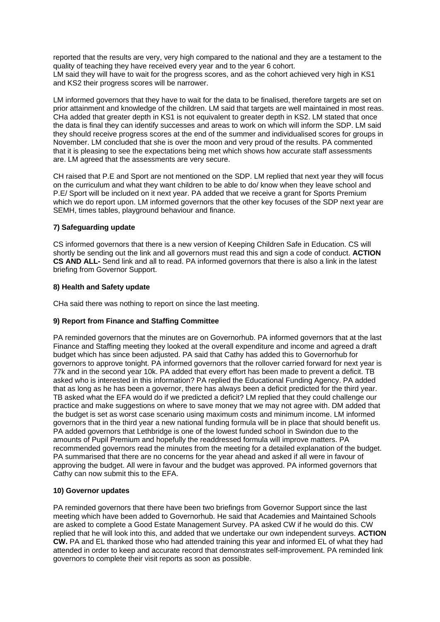reported that the results are very, very high compared to the national and they are a testament to the quality of teaching they have received every year and to the year 6 cohort. LM said they will have to wait for the progress scores, and as the cohort achieved very high in KS1 and KS2 their progress scores will be narrower.

LM informed governors that they have to wait for the data to be finalised, therefore targets are set on prior attainment and knowledge of the children. LM said that targets are well maintained in most reas. CHa added that greater depth in KS1 is not equivalent to greater depth in KS2. LM stated that once the data is final they can identify successes and areas to work on which will inform the SDP. LM said they should receive progress scores at the end of the summer and individualised scores for groups in November. LM concluded that she is over the moon and very proud of the results. PA commented that it is pleasing to see the expectations being met which shows how accurate staff assessments are. LM agreed that the assessments are very secure.

CH raised that P.E and Sport are not mentioned on the SDP. LM replied that next year they will focus on the curriculum and what they want children to be able to do/ know when they leave school and P.E/ Sport will be included on it next year. PA added that we receive a grant for Sports Premium which we do report upon. LM informed governors that the other key focuses of the SDP next year are SEMH, times tables, playground behaviour and finance.

# **7) Safeguarding update**

CS informed governors that there is a new version of Keeping Children Safe in Education. CS will shortly be sending out the link and all governors must read this and sign a code of conduct. **ACTION CS AND ALL-** Send link and all to read. PA informed governors that there is also a link in the latest briefing from Governor Support.

## **8) Health and Safety update**

CHa said there was nothing to report on since the last meeting.

# **9) Report from Finance and Staffing Committee**

PA reminded governors that the minutes are on Governorhub. PA informed governors that at the last Finance and Staffing meeting they looked at the overall expenditure and income and agreed a draft budget which has since been adjusted. PA said that Cathy has added this to Governorhub for governors to approve tonight. PA informed governors that the rollover carried forward for next year is 77k and in the second year 10k. PA added that every effort has been made to prevent a deficit. TB asked who is interested in this information? PA replied the Educational Funding Agency. PA added that as long as he has been a governor, there has always been a deficit predicted for the third year. TB asked what the EFA would do if we predicted a deficit? LM replied that they could challenge our practice and make suggestions on where to save money that we may not agree with. DM added that the budget is set as worst case scenario using maximum costs and minimum income. LM informed governors that in the third year a new national funding formula will be in place that should benefit us. PA added governors that Lethbridge is one of the lowest funded school in Swindon due to the amounts of Pupil Premium and hopefully the readdressed formula will improve matters. PA recommended governors read the minutes from the meeting for a detailed explanation of the budget. PA summarised that there are no concerns for the year ahead and asked if all were in favour of approving the budget. All were in favour and the budget was approved. PA informed governors that Cathy can now submit this to the EFA.

# **10) Governor updates**

PA reminded governors that there have been two briefings from Governor Support since the last meeting which have been added to Governorhub. He said that Academies and Maintained Schools are asked to complete a Good Estate Management Survey. PA asked CW if he would do this. CW replied that he will look into this, and added that we undertake our own independent surveys. **ACTION CW.** PA and EL thanked those who had attended training this year and informed EL of what they had attended in order to keep and accurate record that demonstrates self-improvement. PA reminded link governors to complete their visit reports as soon as possible.